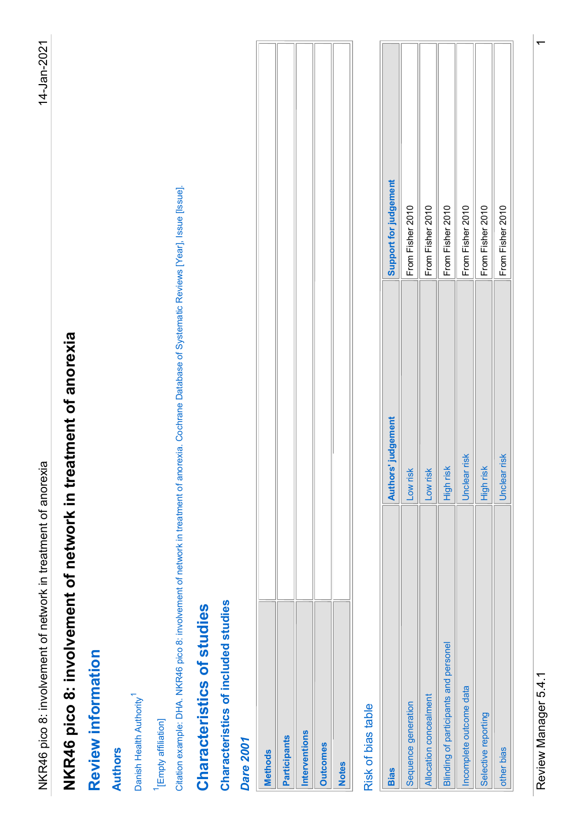| <b>Methods</b>      |  |
|---------------------|--|
| <b>Participants</b> |  |
| Interventions       |  |
| <b>Outcomes</b>     |  |
| <b>Notes</b>        |  |
|                     |  |

| judgement<br>Citation example: DHA. NKR46 pico 8: involvement of network in treatment of anorexia. Cochrane Database of Systematic Reviews [Year], Issue [Issue].<br>2010<br>2010<br>2010<br>2010<br>2010<br>2010<br>Support for<br>From Fisher<br>From Fisher<br>From Fisher<br>From Fisher<br>From Fisher<br>From Fisher<br>NKR46 pico 8: involvement of network in treatment of anorexia<br>Authors' judgement<br>Unclear risk<br>Unclear risk<br>High risk<br>High risk<br>Low risk<br>Low risk<br>Characteristics of included studies<br>Characteristics of studies<br><b>Blinding of participants and personel</b><br><b>Review information</b><br>Incomplete outcome data<br>Danish Health Authority <sup>1</sup><br>Allocation concealment<br>Sequence generation<br>Risk of bias table<br>Selective reporting<br><sup>1</sup> [Empty affiliation]<br>Interventions<br>Participants<br>Dare 2001<br><b>Outcomes</b><br>other bias<br><b>Authors</b><br><b>Methods</b><br><b>Notes</b><br><b>Bias</b> |
|--------------------------------------------------------------------------------------------------------------------------------------------------------------------------------------------------------------------------------------------------------------------------------------------------------------------------------------------------------------------------------------------------------------------------------------------------------------------------------------------------------------------------------------------------------------------------------------------------------------------------------------------------------------------------------------------------------------------------------------------------------------------------------------------------------------------------------------------------------------------------------------------------------------------------------------------------------------------------------------------------------------|
|                                                                                                                                                                                                                                                                                                                                                                                                                                                                                                                                                                                                                                                                                                                                                                                                                                                                                                                                                                                                              |
|                                                                                                                                                                                                                                                                                                                                                                                                                                                                                                                                                                                                                                                                                                                                                                                                                                                                                                                                                                                                              |
|                                                                                                                                                                                                                                                                                                                                                                                                                                                                                                                                                                                                                                                                                                                                                                                                                                                                                                                                                                                                              |
|                                                                                                                                                                                                                                                                                                                                                                                                                                                                                                                                                                                                                                                                                                                                                                                                                                                                                                                                                                                                              |
|                                                                                                                                                                                                                                                                                                                                                                                                                                                                                                                                                                                                                                                                                                                                                                                                                                                                                                                                                                                                              |
|                                                                                                                                                                                                                                                                                                                                                                                                                                                                                                                                                                                                                                                                                                                                                                                                                                                                                                                                                                                                              |
|                                                                                                                                                                                                                                                                                                                                                                                                                                                                                                                                                                                                                                                                                                                                                                                                                                                                                                                                                                                                              |
|                                                                                                                                                                                                                                                                                                                                                                                                                                                                                                                                                                                                                                                                                                                                                                                                                                                                                                                                                                                                              |
|                                                                                                                                                                                                                                                                                                                                                                                                                                                                                                                                                                                                                                                                                                                                                                                                                                                                                                                                                                                                              |
|                                                                                                                                                                                                                                                                                                                                                                                                                                                                                                                                                                                                                                                                                                                                                                                                                                                                                                                                                                                                              |
|                                                                                                                                                                                                                                                                                                                                                                                                                                                                                                                                                                                                                                                                                                                                                                                                                                                                                                                                                                                                              |
|                                                                                                                                                                                                                                                                                                                                                                                                                                                                                                                                                                                                                                                                                                                                                                                                                                                                                                                                                                                                              |
|                                                                                                                                                                                                                                                                                                                                                                                                                                                                                                                                                                                                                                                                                                                                                                                                                                                                                                                                                                                                              |
|                                                                                                                                                                                                                                                                                                                                                                                                                                                                                                                                                                                                                                                                                                                                                                                                                                                                                                                                                                                                              |
|                                                                                                                                                                                                                                                                                                                                                                                                                                                                                                                                                                                                                                                                                                                                                                                                                                                                                                                                                                                                              |
|                                                                                                                                                                                                                                                                                                                                                                                                                                                                                                                                                                                                                                                                                                                                                                                                                                                                                                                                                                                                              |
|                                                                                                                                                                                                                                                                                                                                                                                                                                                                                                                                                                                                                                                                                                                                                                                                                                                                                                                                                                                                              |
|                                                                                                                                                                                                                                                                                                                                                                                                                                                                                                                                                                                                                                                                                                                                                                                                                                                                                                                                                                                                              |
|                                                                                                                                                                                                                                                                                                                                                                                                                                                                                                                                                                                                                                                                                                                                                                                                                                                                                                                                                                                                              |
|                                                                                                                                                                                                                                                                                                                                                                                                                                                                                                                                                                                                                                                                                                                                                                                                                                                                                                                                                                                                              |
|                                                                                                                                                                                                                                                                                                                                                                                                                                                                                                                                                                                                                                                                                                                                                                                                                                                                                                                                                                                                              |
|                                                                                                                                                                                                                                                                                                                                                                                                                                                                                                                                                                                                                                                                                                                                                                                                                                                                                                                                                                                                              |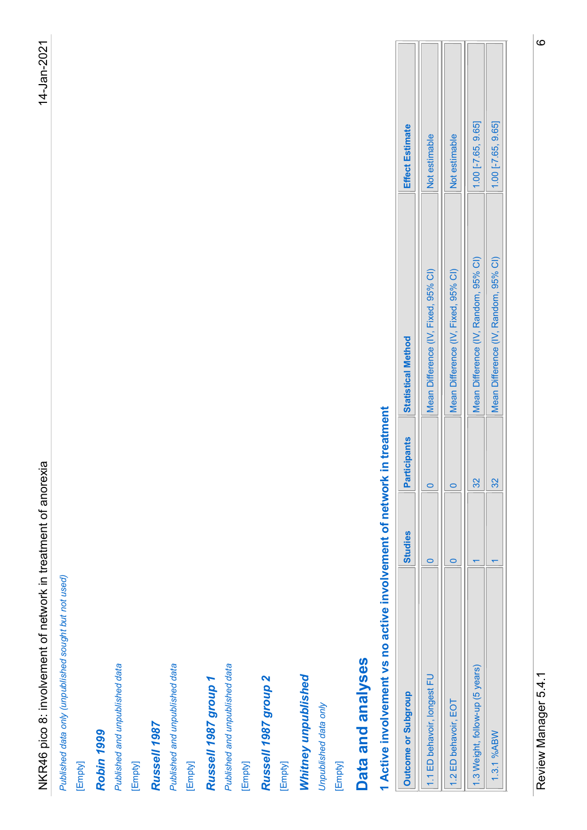| 1.00 [-7.65, 9.65]<br>1.00 [-7.65, 9.65]<br><b>Effect Estimate</b><br>Not estimable<br>Not estimable<br>Mean Difference (IV, Random, 95% CI)<br>Mean Difference (IV, Random, 95% CI)<br>Mean Difference (IV, Fixed, 95% CI)<br>Mean Difference (IV, Fixed, 95% CI)<br><b>Statistical Method</b><br>Active involvement vs no active involvement of network in treatment<br><b>Participants</b><br>NKR46 pico 8: involvement of network in treatment of anorexia<br>32<br>$\frac{8}{2}$<br>$\circ$<br>$\circ$<br><b>Studies</b><br>$\overline{\phantom{0}}$<br>$\circ$<br>$\overline{\phantom{0}}$<br>$\overline{\phantom{0}}$<br>Published data only (unpublished sought but not used)<br>Data and analyses<br>Published and unpublished data<br>Published and unpublished data<br>Published and unpublished data<br>1.3 Weight, follow-up (5 years)<br>Whitney unpublished<br>1.1 ED behavoir, longest FU<br>Russell 1987 group 2<br>Russell 1987 group 1<br>Outcome or Subgroup<br>1.2 ED behavoir, EOT<br>Unpublished data only<br>Russell 1987<br>1.3.1%ABW<br>Robin <sub>1999</sub><br>[Empty]<br>[Empty]<br>[Empty]<br>[Empty]<br>[Empty]<br>[Empty]<br>$\blacktriangledown$ |
|-----------------------------------------------------------------------------------------------------------------------------------------------------------------------------------------------------------------------------------------------------------------------------------------------------------------------------------------------------------------------------------------------------------------------------------------------------------------------------------------------------------------------------------------------------------------------------------------------------------------------------------------------------------------------------------------------------------------------------------------------------------------------------------------------------------------------------------------------------------------------------------------------------------------------------------------------------------------------------------------------------------------------------------------------------------------------------------------------------------------------------------------------------------------------------------|
|                                                                                                                                                                                                                                                                                                                                                                                                                                                                                                                                                                                                                                                                                                                                                                                                                                                                                                                                                                                                                                                                                                                                                                                   |
|                                                                                                                                                                                                                                                                                                                                                                                                                                                                                                                                                                                                                                                                                                                                                                                                                                                                                                                                                                                                                                                                                                                                                                                   |
|                                                                                                                                                                                                                                                                                                                                                                                                                                                                                                                                                                                                                                                                                                                                                                                                                                                                                                                                                                                                                                                                                                                                                                                   |
|                                                                                                                                                                                                                                                                                                                                                                                                                                                                                                                                                                                                                                                                                                                                                                                                                                                                                                                                                                                                                                                                                                                                                                                   |
|                                                                                                                                                                                                                                                                                                                                                                                                                                                                                                                                                                                                                                                                                                                                                                                                                                                                                                                                                                                                                                                                                                                                                                                   |
|                                                                                                                                                                                                                                                                                                                                                                                                                                                                                                                                                                                                                                                                                                                                                                                                                                                                                                                                                                                                                                                                                                                                                                                   |
|                                                                                                                                                                                                                                                                                                                                                                                                                                                                                                                                                                                                                                                                                                                                                                                                                                                                                                                                                                                                                                                                                                                                                                                   |
|                                                                                                                                                                                                                                                                                                                                                                                                                                                                                                                                                                                                                                                                                                                                                                                                                                                                                                                                                                                                                                                                                                                                                                                   |
|                                                                                                                                                                                                                                                                                                                                                                                                                                                                                                                                                                                                                                                                                                                                                                                                                                                                                                                                                                                                                                                                                                                                                                                   |
|                                                                                                                                                                                                                                                                                                                                                                                                                                                                                                                                                                                                                                                                                                                                                                                                                                                                                                                                                                                                                                                                                                                                                                                   |
|                                                                                                                                                                                                                                                                                                                                                                                                                                                                                                                                                                                                                                                                                                                                                                                                                                                                                                                                                                                                                                                                                                                                                                                   |
|                                                                                                                                                                                                                                                                                                                                                                                                                                                                                                                                                                                                                                                                                                                                                                                                                                                                                                                                                                                                                                                                                                                                                                                   |
|                                                                                                                                                                                                                                                                                                                                                                                                                                                                                                                                                                                                                                                                                                                                                                                                                                                                                                                                                                                                                                                                                                                                                                                   |
|                                                                                                                                                                                                                                                                                                                                                                                                                                                                                                                                                                                                                                                                                                                                                                                                                                                                                                                                                                                                                                                                                                                                                                                   |
|                                                                                                                                                                                                                                                                                                                                                                                                                                                                                                                                                                                                                                                                                                                                                                                                                                                                                                                                                                                                                                                                                                                                                                                   |
|                                                                                                                                                                                                                                                                                                                                                                                                                                                                                                                                                                                                                                                                                                                                                                                                                                                                                                                                                                                                                                                                                                                                                                                   |
|                                                                                                                                                                                                                                                                                                                                                                                                                                                                                                                                                                                                                                                                                                                                                                                                                                                                                                                                                                                                                                                                                                                                                                                   |
|                                                                                                                                                                                                                                                                                                                                                                                                                                                                                                                                                                                                                                                                                                                                                                                                                                                                                                                                                                                                                                                                                                                                                                                   |
|                                                                                                                                                                                                                                                                                                                                                                                                                                                                                                                                                                                                                                                                                                                                                                                                                                                                                                                                                                                                                                                                                                                                                                                   |
|                                                                                                                                                                                                                                                                                                                                                                                                                                                                                                                                                                                                                                                                                                                                                                                                                                                                                                                                                                                                                                                                                                                                                                                   |
|                                                                                                                                                                                                                                                                                                                                                                                                                                                                                                                                                                                                                                                                                                                                                                                                                                                                                                                                                                                                                                                                                                                                                                                   |
|                                                                                                                                                                                                                                                                                                                                                                                                                                                                                                                                                                                                                                                                                                                                                                                                                                                                                                                                                                                                                                                                                                                                                                                   |
|                                                                                                                                                                                                                                                                                                                                                                                                                                                                                                                                                                                                                                                                                                                                                                                                                                                                                                                                                                                                                                                                                                                                                                                   |
|                                                                                                                                                                                                                                                                                                                                                                                                                                                                                                                                                                                                                                                                                                                                                                                                                                                                                                                                                                                                                                                                                                                                                                                   |